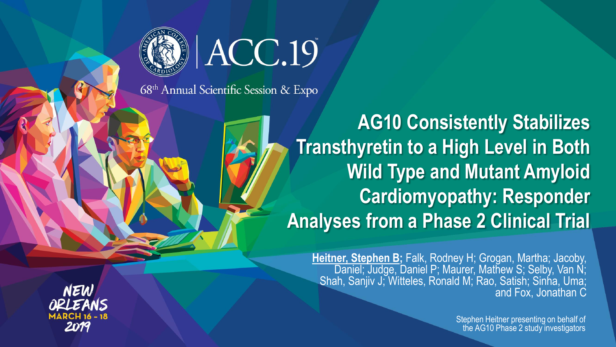



68<sup>th</sup> Annual Scientific Session & Expo

**AG10 Consistently Stabilizes Transthyretin to a High Level in Both Wild Type and Mutant Amyloid Cardiomyopathy: Responder Analyses from a Phase 2 Clinical Trial**

**Heitner, Stephen B;** Falk, Rodney H; Grogan, Martha; Jacoby, Daniel; Judge, Daniel P; Maurer, Mathew S; Selby, Van N; Shah, Sanjiv J; Witteles, Ronald M; Rao, Satish; Sinha, Uma; and Fox, Jonathan C

> Stephen Heitner presenting on behalf of the AG10 Phase 2 study investigators

NEW 2019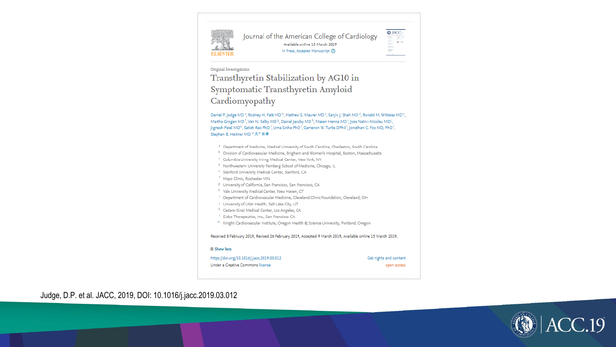

Journal of the American College of Cardiology Available online 15 March 2019 In Press, Accepted Manuscript (?)



#### Original Investigations

Transthyretin Stabilization by AG10 in Symptomatic Transthyretin Amyloid Cardiomyopathy

Daniel P. Judge MD<sup>3</sup>, Rodney H. Falk MD<sup>b</sup>, Mathew S. Maurer MD<sup>-c</sup>, Saniiv J. Shah MD<sup>-d</sup>, Ronald M. Witteles MD<sup>-c</sup>, Martha Grogan MD<sup>F</sup>, Van N. Selby MD<sup>B</sup>, Daniel Jacoby MD<sup>h</sup>, Mazen Hanna MD<sup>1</sup>, Jose Nativi-Nicolau MD<sup>1</sup>, Jignesh Patel MD<sup>k</sup>, Satish Rao PhD<sup>1</sup>, Uma Sinha PhD<sup>1</sup>, Cameron W. Turtle DPhil<sup>1</sup>, Jonathan C. Fox MD, PhD<sup>1</sup>, Stephen B. Heitner MD <sup>m</sup> A<sup>\*</sup> 四 <del>®</del>

- <sup>a</sup> Department of Medicine, Medical University of South Carolina, Charleston, South Carolina
- b Division of Cardiovascular Medicine, Brigham and Women's Hospital, Boston, Massachusetts
- <sup>c</sup> Columbia University Irving Medical Center, New York, NY
- <sup>d</sup> Northwestern University Feinberg School of Medicine, Chicago, IL
- <sup>e</sup> Stanford University Medical Center, Stanford, CA
- <sup>f</sup> Mayo Clinic, Rochester MN
- <sup>8</sup> University of California, San Francisco, San Francisco, CA
- h Yale University Medical Center, New Haven, CT
- <sup>1</sup> Department of Cardiovascular Medicine, Cleveland Clinic Foundation, Cleveland, OH
- University of Utah Health, Salt Lake City, UT
- <sup>k</sup> Cedars-Sinai Medical Center, Los Angeles, CA
- <sup>1</sup> Eidos Therapeutics, Inc., San Francisco CA
- <sup>m</sup> Knight Cardiovascular Institute, Oregon Health & Science University, Portland, Oregon

Received 8 February 2019, Revised 26 February 2019, Accepted 9 March 2019, Available online 15 March 2019.

#### **E** Show less

#### https://doi.org/10.1016/j.jacc.2019.03.012

Under a Creative Commons license

Get rights and content open access

Judge, D.P. et al. JACC, 2019, DOI: 10.1016/j.jacc.2019.03.012

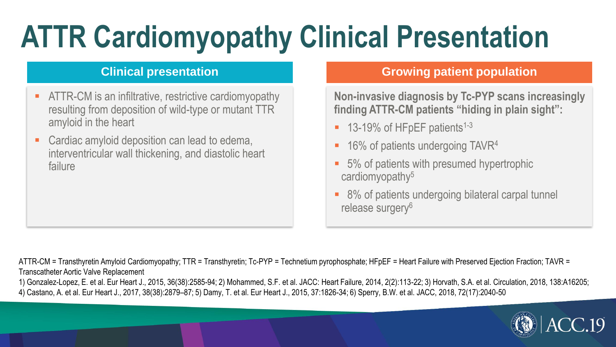# **ATTR Cardiomyopathy Clinical Presentation**

#### **Clinical presentation**

- ATTR-CM is an infiltrative, restrictive cardiomyopathy resulting from deposition of wild-type or mutant TTR amyloid in the heart
- Cardiac amyloid deposition can lead to edema, interventricular wall thickening, and diastolic heart failure

#### **Growing patient population**

**Non-invasive diagnosis by Tc-PYP scans increasingly finding ATTR-CM patients "hiding in plain sight":**

- $\blacksquare$  13-19% of HFpEF patients<sup>1-3</sup>
- 16% of patients undergoing  $TAVR<sup>4</sup>$
- 5% of patients with presumed hypertrophic cardiomyopathy<sup>5</sup>
- 8% of patients undergoing bilateral carpal tunnel release surgery<sup>6</sup>

ATTR-CM = Transthyretin Amyloid Cardiomyopathy; TTR = Transthyretin; Tc-PYP = Technetium pyrophosphate; HFpEF = Heart Failure with Preserved Ejection Fraction; TAVR = Transcatheter Aortic Valve Replacement

1) Gonzalez-Lopez, E. et al. Eur Heart J., 2015, 36(38):2585-94; 2) Mohammed, S.F. et al. JACC: Heart Failure, 2014, 2(2):113-22; 3) Horvath, S.A. et al. Circulation, 2018, 138:A16205; 4) Castano, A. et al. Eur Heart J., 2017, 38(38):2879–87; 5) Damy, T. et al. Eur Heart J., 2015, 37:1826-34; 6) Sperry, B.W. et al. JACC, 2018, 72(17):2040-50

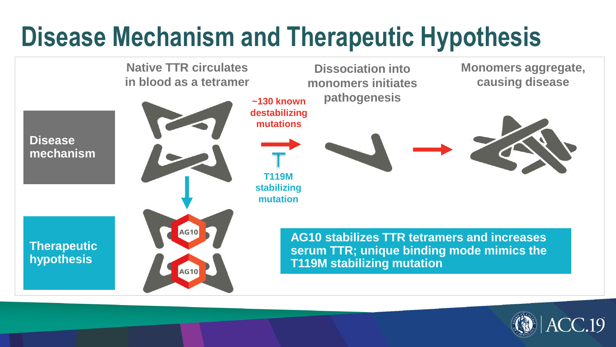### **Disease Mechanism and Therapeutic Hypothesis**



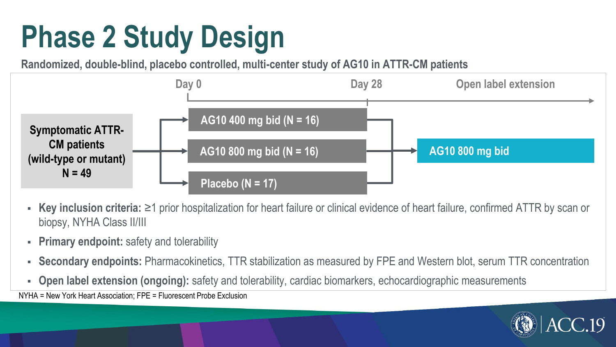# **Phase 2 Study Design**

**Randomized, double-blind, placebo controlled, multi-center study of AG10 in ATTR-CM patients** 



- Key inclusion criteria: ≥1 prior hospitalization for heart failure or clinical evidence of heart failure, confirmed ATTR by scan or biopsy, NYHA Class II/III
- **Primary endpoint:** safety and tolerability
- **Secondary endpoints:** Pharmacokinetics, TTR stabilization as measured by FPE and Western blot, serum TTR concentration
- **Open label extension (ongoing):** safety and tolerability, cardiac biomarkers, echocardiographic measurements

NYHA = New York Heart Association; FPE = Fluorescent Probe Exclusion

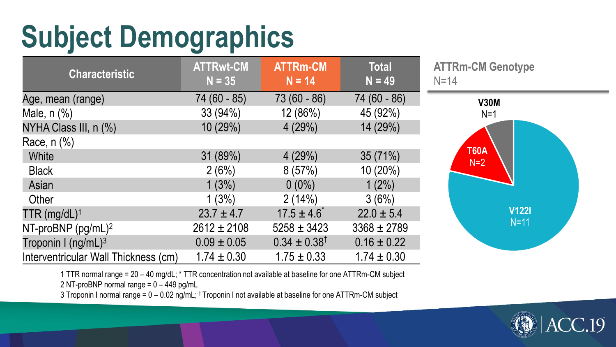# **Subject Demographics**

| <b>Characteristic</b>                | <b>ATTRwt-CM</b><br>$N = 35$ | <b>ATTRm-CM</b><br>$N = 14$ | <b>Total</b><br>$N = 49$ |
|--------------------------------------|------------------------------|-----------------------------|--------------------------|
| Age, mean (range)                    | 74 (60 - 85)                 | 73 (60 - 86)                | 74 (60 - 86)             |
| Male, $n$ $%$                        | 33 (94%)                     | 12 (86%)                    | 45 (92%)                 |
| NYHA Class III, n (%)                | 10 (29%)                     | 4(29%)                      | 14 (29%)                 |
| Race, $n$ $%$                        |                              |                             |                          |
| White                                | 31 (89%)                     | 4(29%)                      | 35(71%)                  |
| <b>Black</b>                         | 2(6%)                        | 8(57%)                      | 10 (20%)                 |
| Asian                                | 1(3%)                        | $0(0\%)$                    | $1(2\%)$                 |
| Other                                | 1(3%)                        | 2(14%)                      | 3(6%)                    |
| $TTR (mg/dL)^1$                      | $23.7 \pm 4.7$               | $17.5 \pm 4.6$              | $22.0 \pm 5.4$           |
| NT-proBNP $(pg/mL)^2$                | $2612 \pm 2108$              | $5258 \pm 3423$             | $3368 \pm 2789$          |
| Troponin I (ng/mL) <sup>3</sup>      | $0.09 \pm 0.05$              | $0.34 \pm 0.38^{\dagger}$   | $0.16 \pm 0.22$          |
| Interventricular Wall Thickness (cm) | $1.74 \pm 0.30$              | $1.75 \pm 0.33$             | $1.74 \pm 0.30$          |

**ATTRm-CM Genotype**  $N = 14$ 



1 TTR normal range = 20 – 40 mg/dL; \* TTR concentration not available at baseline for one ATTRm-CM subject 2 NT-proBNP normal range = 0 – 449 pg/mL

3 Troponin I normal range = 0 – 0.02 ng/mL; † Troponin I not available at baseline for one ATTRm-CM subject

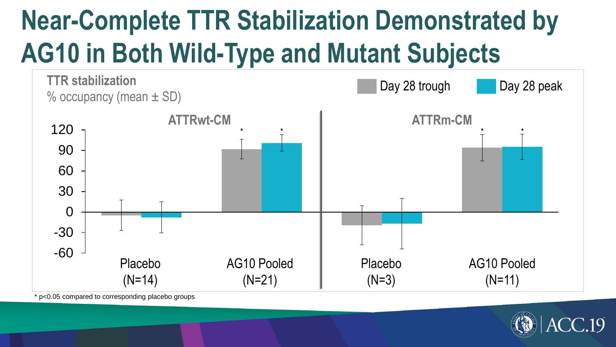## **Near-Complete TTR Stabilization Demonstrated by AG10 in Both Wild-Type and Mutant Subjects**



p<0.05 compared to corresponding placebo groups

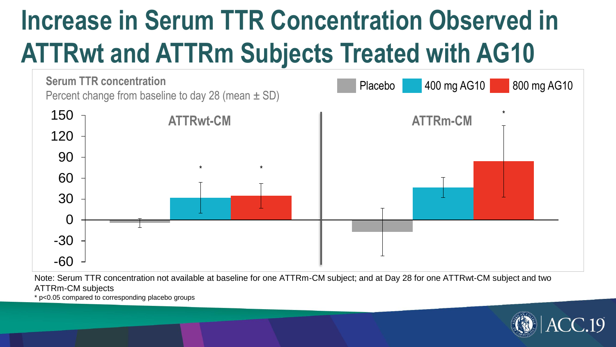### **Increase in Serum TTR Concentration Observed in ATTRwt and ATTRm Subjects Treated with AG10**



Note: Serum TTR concentration not available at baseline for one ATTRm-CM subject; and at Day 28 for one ATTRwt-CM subject and two ATTRm-CM subjects

\* p<0.05 compared to corresponding placebo groups

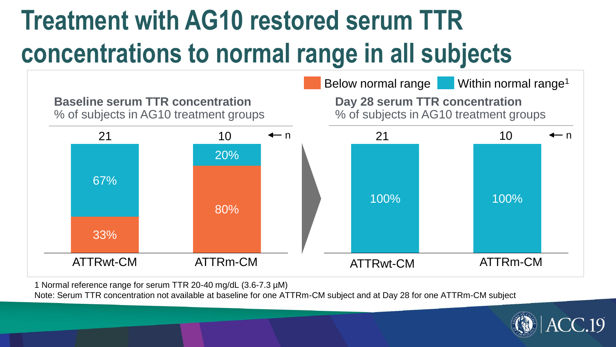### **Treatment with AG10 restored serum TTR concentrations to normal range in all subjects**



1 Normal reference range for serum TTR 20-40 mg/dL (3.6-7.3 µM)

Note: Serum TTR concentration not available at baseline for one ATTRm-CM subject and at Day 28 for one ATTRm-CM subject

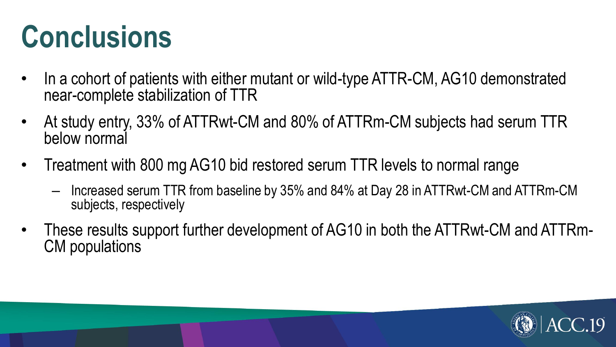## **Conclusions**

- In a cohort of patients with either mutant or wild-type ATTR-CM, AG10 demonstrated near-complete stabilization of TTR
- At study entry, 33% of ATTRwt-CM and 80% of ATTRm-CM subjects had serum TTR below normal
- Treatment with 800 mg AG10 bid restored serum TTR levels to normal range
	- Increased serum TTR from baseline by 35% and 84% at Day 28 in ATTRwt-CM and ATTRm-CM subjects, respectively
- These results support further development of AG10 in both the ATTRwt-CM and ATTRm-CM populations